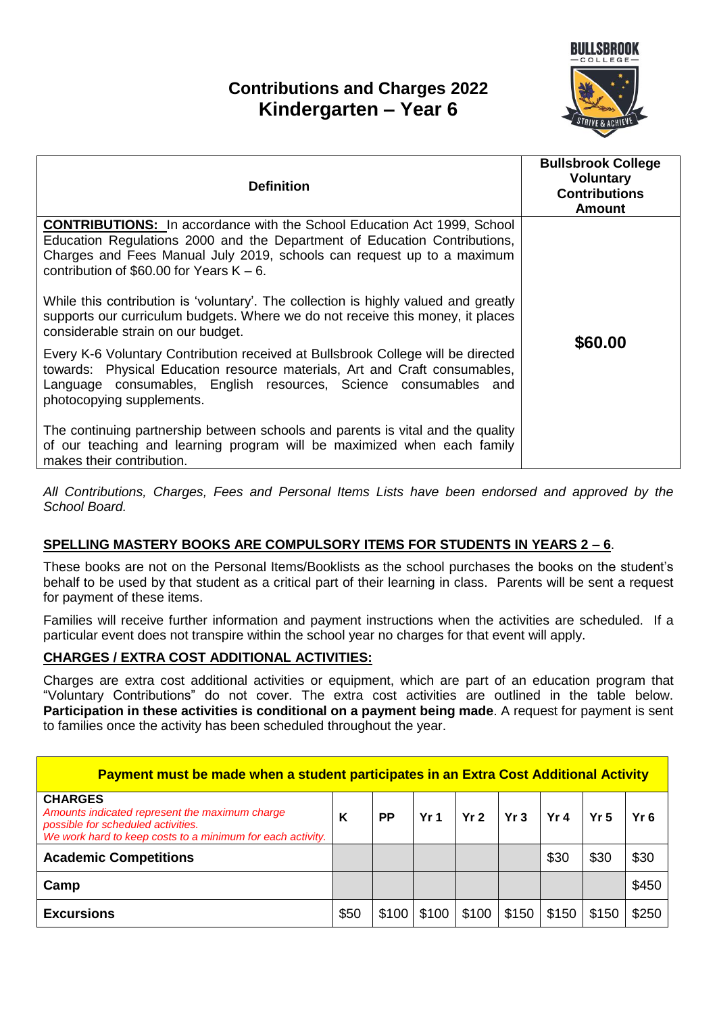# **Contributions and Charges 2022 Kindergarten – Year 6**



| <b>Definition</b>                                                                                                                                                                                                                                                                    | <b>Bullsbrook College</b><br><b>Voluntary</b><br><b>Contributions</b><br><b>Amount</b> |
|--------------------------------------------------------------------------------------------------------------------------------------------------------------------------------------------------------------------------------------------------------------------------------------|----------------------------------------------------------------------------------------|
| <b>CONTRIBUTIONS:</b> In accordance with the School Education Act 1999, School<br>Education Regulations 2000 and the Department of Education Contributions,<br>Charges and Fees Manual July 2019, schools can request up to a maximum<br>contribution of \$60.00 for Years $K - 6$ . |                                                                                        |
| While this contribution is 'voluntary'. The collection is highly valued and greatly<br>supports our curriculum budgets. Where we do not receive this money, it places<br>considerable strain on our budget.                                                                          | \$60.00                                                                                |
| Every K-6 Voluntary Contribution received at Bullsbrook College will be directed<br>towards: Physical Education resource materials, Art and Craft consumables,<br>Language consumables, English resources, Science consumables and<br>photocopying supplements.                      |                                                                                        |
| The continuing partnership between schools and parents is vital and the quality<br>of our teaching and learning program will be maximized when each family<br>makes their contribution.                                                                                              |                                                                                        |

*All Contributions, Charges, Fees and Personal Items Lists have been endorsed and approved by the School Board.*

### **SPELLING MASTERY BOOKS ARE COMPULSORY ITEMS FOR STUDENTS IN YEARS 2 – 6**.

These books are not on the Personal Items/Booklists as the school purchases the books on the student's behalf to be used by that student as a critical part of their learning in class. Parents will be sent a request for payment of these items.

Families will receive further information and payment instructions when the activities are scheduled. If a particular event does not transpire within the school year no charges for that event will apply.

#### **CHARGES / EXTRA COST ADDITIONAL ACTIVITIES:**

Charges are extra cost additional activities or equipment, which are part of an education program that "Voluntary Contributions" do not cover. The extra cost activities are outlined in the table below. **Participation in these activities is conditional on a payment being made**. A request for payment is sent to families once the activity has been scheduled throughout the year.

| Payment must be made when a student participates in an Extra Cost Additional Activity                                                                                |      |       |                 |                 |       |                 |                 |       |
|----------------------------------------------------------------------------------------------------------------------------------------------------------------------|------|-------|-----------------|-----------------|-------|-----------------|-----------------|-------|
| <b>CHARGES</b><br>Amounts indicated represent the maximum charge<br>possible for scheduled activities.<br>We work hard to keep costs to a minimum for each activity. | ĸ    | РP    | Yr <sub>1</sub> | Yr <sub>2</sub> | Yr3   | Yr <sub>4</sub> | Yr <sub>5</sub> | Yr6   |
| <b>Academic Competitions</b>                                                                                                                                         |      |       |                 |                 |       | \$30            | \$30            | \$30  |
| Camp                                                                                                                                                                 |      |       |                 |                 |       |                 |                 | \$450 |
| <b>Excursions</b>                                                                                                                                                    | \$50 | \$100 | \$100           | \$100           | \$150 | \$150           | \$150           | \$250 |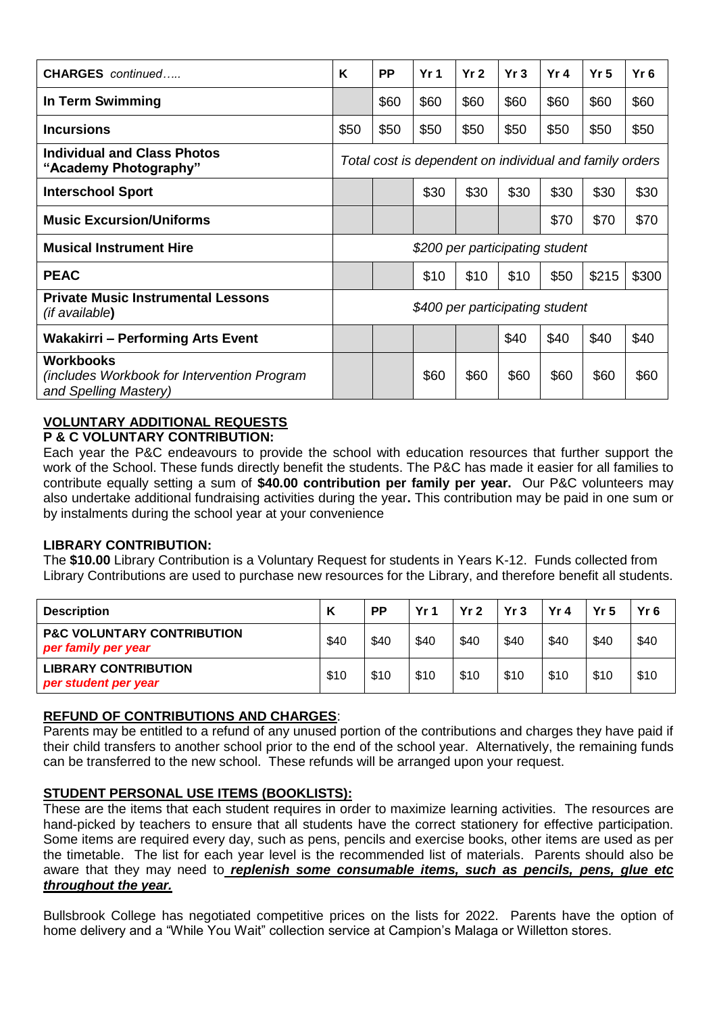| <b>CHARGES</b> continued                                                                 | K                                                       | <b>PP</b> | Yr <sub>1</sub> | Yr <sub>2</sub> | Yr3  | Yr 4 | Yr <sub>5</sub> | Yr <sub>6</sub> |
|------------------------------------------------------------------------------------------|---------------------------------------------------------|-----------|-----------------|-----------------|------|------|-----------------|-----------------|
| In Term Swimming                                                                         |                                                         | \$60      | \$60            | \$60            | \$60 | \$60 | \$60            | \$60            |
| <b>Incursions</b>                                                                        | \$50                                                    | \$50      | \$50            | \$50            | \$50 | \$50 | \$50            | \$50            |
| <b>Individual and Class Photos</b><br>"Academy Photography"                              | Total cost is dependent on individual and family orders |           |                 |                 |      |      |                 |                 |
| <b>Interschool Sport</b>                                                                 |                                                         |           | \$30            | \$30            | \$30 | \$30 | \$30            | \$30            |
| <b>Music Excursion/Uniforms</b>                                                          |                                                         |           |                 |                 |      | \$70 | \$70            | \$70            |
| <b>Musical Instrument Hire</b>                                                           | \$200 per participating student                         |           |                 |                 |      |      |                 |                 |
| <b>PEAC</b>                                                                              |                                                         |           | \$10            | \$10            | \$10 | \$50 | \$215           | \$300           |
| <b>Private Music Instrumental Lessons</b><br><i>(if available)</i>                       | \$400 per participating student                         |           |                 |                 |      |      |                 |                 |
| <b>Wakakirri – Performing Arts Event</b>                                                 |                                                         |           |                 |                 | \$40 | \$40 | \$40            | \$40            |
| <b>Workbooks</b><br>(includes Workbook for Intervention Program<br>and Spelling Mastery) |                                                         |           | \$60            | \$60            | \$60 | \$60 | \$60            | \$60            |

## **VOLUNTARY ADDITIONAL REQUESTS**

#### **P & C VOLUNTARY CONTRIBUTION:**

Each year the P&C endeavours to provide the school with education resources that further support the work of the School. These funds directly benefit the students. The P&C has made it easier for all families to contribute equally setting a sum of **\$40.00 contribution per family per year.** Our P&C volunteers may also undertake additional fundraising activities during the year**.** This contribution may be paid in one sum or by instalments during the school year at your convenience

#### **LIBRARY CONTRIBUTION:**

The **\$10.00** Library Contribution is a Voluntary Request for students in Years K-12. Funds collected from Library Contributions are used to purchase new resources for the Library, and therefore benefit all students.

| <b>Description</b>                                           | Κ    | <b>PP</b> | Yr <sub>1</sub> | Yr <sub>2</sub> | Yr3  | Yr <sub>4</sub> | Yr <sub>5</sub> | $Yr$ 6 |
|--------------------------------------------------------------|------|-----------|-----------------|-----------------|------|-----------------|-----------------|--------|
| <b>P&amp;C VOLUNTARY CONTRIBUTION</b><br>per family per year | \$40 | \$40      | \$40            | \$40            | \$40 | \$40            | \$40            | \$40   |
| <b>LIBRARY CONTRIBUTION</b><br>per student per year          | \$10 | \$10      | \$10            | \$10            | \$10 | \$10            | \$10            | \$10   |

#### **REFUND OF CONTRIBUTIONS AND CHARGES**:

Parents may be entitled to a refund of any unused portion of the contributions and charges they have paid if their child transfers to another school prior to the end of the school year. Alternatively, the remaining funds can be transferred to the new school. These refunds will be arranged upon your request.

#### **STUDENT PERSONAL USE ITEMS (BOOKLISTS):**

These are the items that each student requires in order to maximize learning activities. The resources are hand-picked by teachers to ensure that all students have the correct stationery for effective participation. Some items are required every day, such as pens, pencils and exercise books, other items are used as per the timetable. The list for each year level is the recommended list of materials. Parents should also be aware that they may need to *replenish some consumable items, such as pencils, pens, glue etc throughout the year.*

Bullsbrook College has negotiated competitive prices on the lists for 2022. Parents have the option of home delivery and a "While You Wait" collection service at Campion's Malaga or Willetton stores.